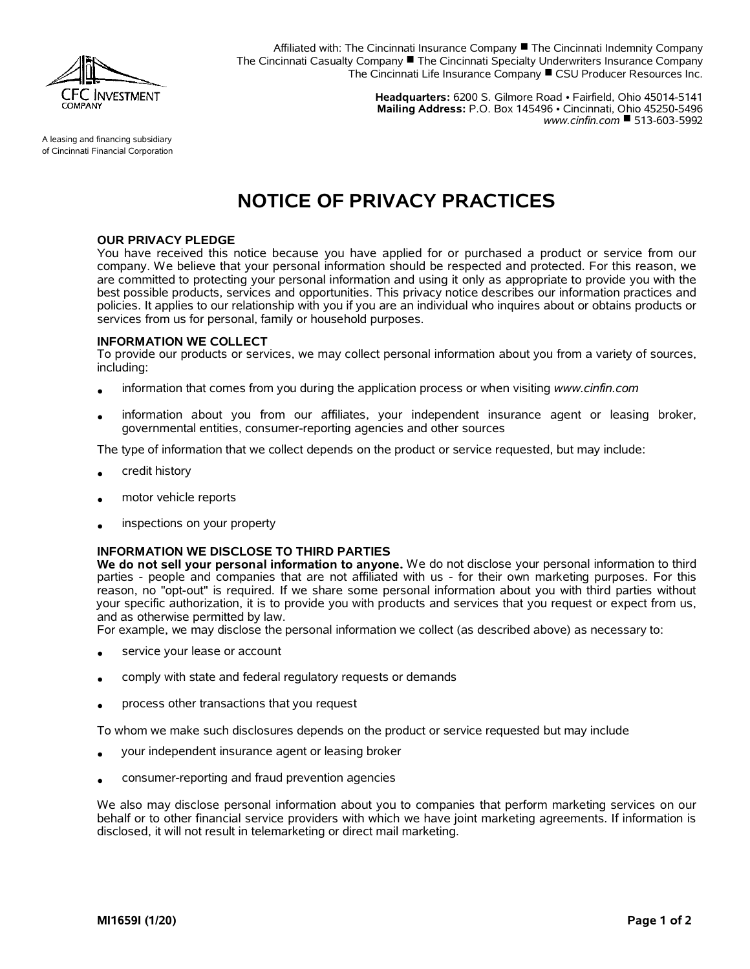

Affiliated with: The Cincinnati Insurance Company  $\blacksquare$  The Cincinnati Indemnity Company The Cincinnati Casualty Company  $\blacksquare$  The Cincinnati Specialty Underwriters Insurance Company The Cincinnati Life Insurance Company CSU Producer Resources Inc.

> **Headquarters:** 6200 S. Gilmore Road • Fairfield, Ohio 45014-5141 **Mailing Address:** P.O. Box 145496 • Cincinnati, Ohio 45250-5496 *www.cinfin.com* ■ 513-603-5992

A leasing and financing subsidiary of Cincinnati Financial Corporation

# **NOTICE OF PRIVACY PRACTICES**

## **OUR PRIVACY PLEDGE**

You have received this notice because you have applied for or purchased a product or service from our company. We believe that your personal information should be respected and protected. For this reason, we are committed to protecting your personal information and using it only as appropriate to provide you with the best possible products, services and opportunities. This privacy notice describes our information practices and policies. It applies to our relationship with you if you are an individual who inquires about or obtains products or services from us for personal, family or household purposes.

#### **INFORMATION WE COLLECT**

To provide our products or services, we may collect personal information about you from a variety of sources, including:

- information that comes from you during the application process or when visiting *www.cinfin.com*
- information about you from our affiliates, your independent insurance agent or leasing broker, governmental entities, consumer-reporting agencies and other sources

The type of information that we collect depends on the product or service requested, but may include:

- credit history
- motor vehicle reports
- inspections on your property

# **INFORMATION WE DISCLOSE TO THIRD PARTIES**

**We do not sell your personal information to anyone.** We do not disclose your personal information to third parties - people and companies that are not affiliated with us - for their own marketing purposes. For this reason, no "opt-out" is required. If we share some personal information about you with third parties without your specific authorization, it is to provide you with products and services that you request or expect from us, and as otherwise permitted by law.

For example, we may disclose the personal information we collect (as described above) as necessary to:

- service your lease or account
- comply with state and federal regulatory requests or demands
- process other transactions that you request

To whom we make such disclosures depends on the product or service requested but may include

- your independent insurance agent or leasing broker
- consumer-reporting and fraud prevention agencies

We also may disclose personal information about you to companies that perform marketing services on our behalf or to other financial service providers with which we have joint marketing agreements. If information is disclosed, it will not result in telemarketing or direct mail marketing.